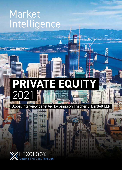### **Market** Intelligence

# **PRIVATE EQUITY** 2021

ଃ

Global interview panel led by Simpson Thacher & Bartlett

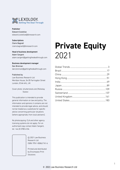

Publisher Edward Costelloe edward.costelloe@lbresearch.com

Subscriptions Claire Bagnall claire.bagnall@lbresearch.com

Head of business development Adam Sargent adam.sargent@gettingthedealthrough.com

Business development manager Dan Brennan dan.brennan@gettingthedealthrough.com

#### Published by

Law Business Research Ltd Meridian House, 34-35 Farringdon Street London, EC4A 4HL, UK

Cover photo: shutterstock.com/Nickolay Stanev

This publication is intended to provide general information on law and policy. The information and opinions it contains are not intended to provide legal advice, and should not be treated as a substitute for specific advice concerning particular situations (where appropriate, from local advisers).

No photocopying. CLA and other agency licensing systems do not apply. For an authorised copy contact Adam Sargent, tel: +44 20 3780 4104

© 2021 Law Business Research Ltd ISBN: 978-1-83862-741-6 Printed and distributed by Encompass Print Solutions

**Private Equity** 2021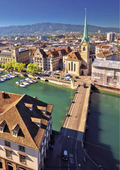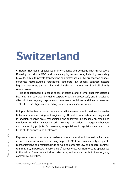## **Switzerland**

Christoph Neeracher specialises in international and domestic M&A transactions (focusing on private M&A and private equity transactions, including secondary buyouts, public-to-private transactions and distressed equity), transaction finance, corporate restructurings, relocations, corporate law, general contract matters (eg, joint ventures, partnerships and shareholders' agreements) and all directly related areas.

He is experienced in a broad range of national and international transactions, both sell and buy side (including corporate auction processes), and in assisting clients in their ongoing corporate and commercial activities. Additionally, he represents clients in litigation proceedings relating to his specialisation.

Philippe Seiler has broad experience in M&A transactions in various industries (inter alia, manufacturing and engineering, IT, watch, real estate, and logistics). In addition to large-scale transactions and takeovers, he focuses on small and medium-sized M&A transactions, private equity transactions, management buyouts and outsourcing projects. Furthermore, he specialises in regulatory matters in the fields of life sciences and healthcare.

Raphael Annasohn has broad experience in international and domestic M&A transactions in various industries focusing on private M&A and private equity, corporate reorganisations and restructurings as well as corporate law and general contractual matters, in particular shareholders' agreements. Furthermore, he specialises in the fields of venture capital and start-ups, and assists clients in their ongoing commercial activities.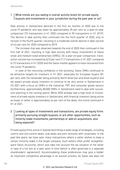#### 1 What trends are you seeing in overall activity levels for private equity buyouts and investments in your jurisdiction during the past year or so?

Deal activity in Switzerland declined in the first six months of 2020 due to the covid-19 pandemic and was down by approximately 25 per cent on a year-on-year comparison (72 transactions in H1 2020 compared to 95 transactions in H1 2019). The decline in deal activity then continued into the third quarter of 2020, only to recover in the fourth quarter, resulting in a moderate overall decline in deal volume of 4.6 per cent for 2020 compared to 2019.

The increase that was observed towards the end of 2020 then continued in the first half of 2021, resulting in high deal activity with heavy involvement of Swiss small and medium-sized enterprises (SMEs). On a year-on-year comparison, transaction volume has increased by 62.5 per cent (117 transactions in H1 2021 compared to 72 transactions in H1 2020) and the Swiss market appears to have recovered from the covid-19 pandemic.

In view of the returning confidence in the economy, Swiss SMEs continued to be attractive targets for investors in H1 2021, especially for European buyers (81 per cent, with the remainder being primarily North American and Asian buyers) and we expect private equity investors to continue to be very active in Switzerland in H2 2021 with a focus on SMEs in the industrial, TMT and consumer goods sectors (furthermore, approximately 80,000 SMEs in Switzerland need to deal with succession planning in the coming years). While 2020 already saw a high level of involvement of private equity investors in Switzerland, with financial investors being active as buyer or seller in approximately 44 per cent of the deals, this trend continued in H1 of 2021.

#### 2 Looking at types of investments and transactions, are private equity firms primarily pursuing straight buyouts, or are other opportunities, such as minority-stake investments, partnerships or add-on acquisitions, also being explored?

Private equity firms active in Switzerland follow a wide range of strategies, including control and non-control deals, club deals and joint ventures with corporates. In the past few years, we have seen many transactions where a seller wishes to keep a certain minority stake in the target company. Such sellers often prefer straightforward Swiss structures, which also take into account the tax situation of the seller in case of a full exit at a later point in time (which is often governed in a separate shareholders' agreement). Accommodating these preferences may give a bidder an important competitive advantage in an auction process. As Swiss law does not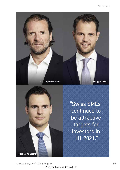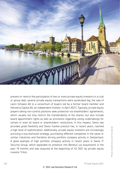

prevent or restrict the participation of two or more private equity investors in a club or group deal, several private equity transactions were syndicated (eg, the sale of Leoni Schweiz AG to a consortium of buyers led by a former board member and Helvetica Capital AG, an independent investor, in April 2021). Typically, private equity players taking non-control positions seek protection via shareholders' agreements, which usually not only restrict the transferability of the shares, but also include board appointment rights as well as provisions regarding voting undertakings for certain or even all board or shareholders' resolutions. In this respect, Swiss law provides great flexibility and Swiss market practice has, in recent years, reached a high level of sophistication. Additionally, private equity investors are increasingly pursuing a buy-and-build strategy, purchasing different companies in the same or similar industries and therefore driving portfolio company activity in Switzerland. A good example of high portfolio company activity in recent years is Swiss IT Security Group, which expanded its presence into Benelux via acquisitions in the past 18 months and was acquired at the beginning of H2 2021 by private equity investor Triton.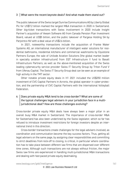#### 3 What were the recent keynote deals? And what made them stand out?

The public takeover of the Swiss target Sunrise Communications AG by Liberty Global Plc for US\$7.2 billion marked the largest M&A transaction in 2020 in Switzerland. Other big-ticket transactions with Swiss involvement in 2020 include Insight Partner's acquisition of Veeam Software AG from Canada Pension Plan Investment Board, valued at US\$5 billion, and the public takeover of Pargesa Holding SA by Pariointco NV with a deal value of US\$2.6 billion.

In 2021, noteworthy transactions include the acquisition of Franke Water Systems AG, an international manufacturer of intelligent water solutions for residential bathrooms, residential kitchens and commercial washrooms by Equistone Partners Europe; the sale of Unilode Aviation Solutions (the global market leader in specialty aviation infrastructure) from EQT Infrastructure II fund to Basalt Infrastructure Partners; as well as the above-mentioned acquisition of the Swiss leading cybersecurity service provider Swiss IT Security Group by Triton Fund V from Ufenau Capital. The Swiss IT Security Group deal can be seen as an example of high activity in the TMT sector.

Other notable private equity deals in H1 2021 included the US\$250 million investment of CVC Capital Partners in Acronis, the global operator in cyber-protection, and the partnership of CVC Capital Partners with the International Volleyball **Federation** 

#### 4 Does private equity M&A tend to be cross-border? What are some of the typical challenges legal advisers in your jurisdiction face in a multijurisdictional deal? How are those challenges evolving?

Cross-border private equity M&A deals have always been a major pillar in an overall busy M&A market in Switzerland. The importance of cross-border M&A for Switzerland has also been underlined by the Swiss legislator, which so far has refused to introduce investment restrictions for foreign investors despite an international trend in this direction.

Cross-border transactions create challenges for the legal advisers involved, as coordination and communication become the key success factors. Thus, getting all legal advisers on the same page, by assigning clear responsibilities and committing to strict deadlines from kick-off to closing, is critical, in particular where coordination has to take place between different law firms that are dispersed over different time zones. Although such transactions are not always without friction, the major Swiss law firms are experienced in handling multi-jurisdictional M&A transactions and dealing with fast-paced private equity dealmaking.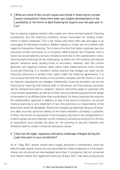5 What are some of the current issues and trends in financing for private equity transactions? Have there been any notable developments in the availability or the terms of debt financing for buyers over the past year or so?

Due to ongoing negative interest rates, banks are more inclined towards financing transactions and the financing conditions remain favourable for funding investments in Swiss companies. This is the reason why there often was and again is an oversupply of interested investors. Bidders looking to invest are very flexible with regard to transaction financing. This is due to the fact that Swiss corporate law only stipulates limited restrictions on a company's debt-to-equity ratio (however, from a Swiss tax law perspective, de facto limitations exist due to thin capitalisation rules). Securing bank financing can be challenging, as banks are still cautious and require specific collateral when lending funds to borrowers. However, with the current (partially still negative) interest rates, banks have indeed become more inclined to provide financing. It is standard market practice that pledges are taken by the financing institutions to protect their rights under the financing agreements. It is not unusual that both the shares in the portfolio company and the shares in any of its material subsidiaries are pledged. Additionally, financing providers secure the financing by requiring that existing debt is refinanced, and that existing securities will be released and used as collateral. Various restrictions apply to upstream and cross-stream guarantees, as well as to other security interests granted by the target to the parent or an affiliate (other than a subsidiary). As Swiss corporate law requires the shareholders' approval in addition to that of the board of directors, structured financial planning is very important. In fact, this planning is a responsibility of the board that cannot be delegated. Should the company go bankrupt because of excessive debt incurred, personal liability of the board members ultimately is possible. Further, the articles of association of the company may have to be changed before it is able to grant security interests, as the company's purpose according to its articles of association must provide the basis for the granting of security interests and therefore need to contain a financial assistance clause.

#### $6$  How has the legal, regulatory and policy landscape changed during the past few years in your jurisdiction?

As of 1 May 2021, bearer shares were largely abolished in Switzerland. Since the effective date, bearer shares are only permitted for listed companies or if the bearer shares are structured as intermediated securities. If companies had not converted their bearer shares into registered shares by 30 April 2021, they were compulsorily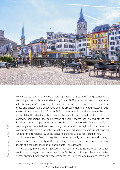

converted by law. Shareholders holding bearer shares and failing to notify the company about such bearer shares by 1 May 2021 are not allowed to be entered into the company's share register. As a consequence, the membership rights of these shareholders are suspended and the property rights forfeited. However, such shareholders have until 31 October 2024 to be entered in the share register by court order. After this deadline, their bearer shares will become null and void. From a company perspective, the abolishment of bearer shares has, among others, the implication that companies must ensure that shareholders who failed to notify the company are prevented from exercising their shareholder rights. Furthermore, the company's articles of association must be amended and companies must consider whether the transferability of the converted shares will be restricted or not.

In recent years, financial regulation has increasingly become a central strategic dimension. The complexity of the regulatory environment – and thus the requirements and costs for the market participants – are growing.

As briefly mentioned in question 4, to date, there is no general investment control for foreign direct investments in Switzerland, though there are certain sector-specific limitations and requirements (eg, in telecommunications, radio and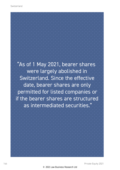"As of 1 May 2021, bearer shares were largely abolished in Switzerland. Since the effective date, bearer shares are only permitted for listed companies or if the bearer shares are structured as intermediated securities."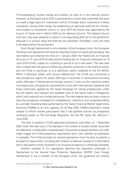TV broadcasting, nuclear energy and aviation, as well as in the financial sector). However, at the beginning of 2018, a parliamentary motion was submitted that aims to create a legal basis for investment control of foreign direct investment in Swiss companies, among other things, by establishing an approval authority for transactions subject to investment control. In June 2019 the motion was approved by the Council of States and in March 2020 by the National Council. The Federal Council now has a two-year deadline to submit a corresponding draft bill to the parliament, although it is unclear when the draft will be submitted. Thereafter, it will still have to be approved by the parliament.

Even though Switzerland is not a member of the European Union, the European directives and regulations still have an important impact on Swiss policymaking. Two new federal acts entered into force on 1 January 2020: the Federal Act on Financial Services of 15 June 2018 (FinSA) and the Federal Act on Financial Institutions of 15 June 2018 (FinIA), subject to a phasing-in period of up to two years. The new laws were created with the goal of enhancing customer protection in the financial sector, and the FinSA in particular is to a significant extent modelled on the EU MiFID/ MiFID II directives (albeit with various differences). The FinSA also introduced a new prospectus regime for public offerings of securities in Switzerland (including public offerings in Switzerland by foreign issuers). It sets out the required content of prospectuses, bringing the requirements in line with international standards and those historically applied by SIX Swiss Exchange for listing prospectuses under the old regime, and replaces the outdated rules of the Swiss Code of Obligations, which only required very limited disclosure. The new regime also includes a duty to have the prospectus reviewed for completeness, coherence and comprehensibility by a private reviewing body authorised by the Swiss Financial Market Supervisory Authority (FINMA) to act this capacity. On 28 May 2020, FINMA published a media release to inform market participants that it had granted licences as prospectus reviewing bodies to SIX Exchange Regulation AG and BX Swiss AG, effective 1 June 2020.

The duty to publish a FinSA approved prospectus took effect on 1 December 2020. Given the new rules, if, for example, in the context of a public tender securities are offered as consideration in Switzerland, it should be reviewed whether such offer might trigger the FinSA prospectus requirement and, if yes, whether an exemption is available. The FinSA provides for several exemptions from the duty to publish a prospectus requirement, including with respect to takeover situations if information that is equivalent to that contained in an issuance prospectus is otherwise available.

Another example of EU regulations affecting the regulatory landscape in Switzerland is the General Data Protection Regulation (GDPR). Even though Switzerland is not a member of the European Union, the guidelines are directly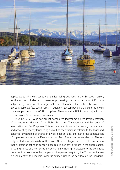

applicable to all Swiss-based companies doing business in the European Union, as the scope includes all businesses processing the personal data of EU data subjects (eg, employees) or organisations that monitor the (online) behaviour of EU data subjects (eg, customers). In addition, EU companies are asking its Swiss business partners to be GDPR compliant. Therefore, the GDPR has a major impact on numerous Swiss-based companies.

In June 2019, Swiss parliament passed the federal act on the implementation of the recommendations of the Global Forum on Transparency and Exchange of Information for Tax Purposes. This act is a step towards increasing transparency and preventing money laundering as well as tax evasion in relation to the legal and beneficial ownership of shares in Swiss legal entities, and marks the continuation of implementations of the Financial Action Task Force's recommendations. The key duty, stated in article 697(j) of the Swiss Code of Obligations, refers to any person that by itself or acting in concert acquires 25 per cent or more in the share capital or voting rights of a non-listed Swiss company having to disclose to the beneficial owner of this position to the company. If the person acquiring the 25 per cent stake is a legal entity, its beneficial owner is defined, under the new law, as the individual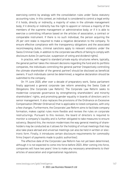exercising control by analogy with the consolidation rules under Swiss statutory accounting rules. In this context, an individual is considered to control a legal entity if it holds, directly or indirectly, a majority of votes in the ultimate management body; if it directly or indirectly has the right to appoint or remove a majority of the members of the supreme management or administrative body; or if it is able to exercise a controlling influence based on the articles of association, a contract or comparable instrument. If there is no such individual, the person acquiring the 25 per cent stake is required to make a negative declaration to the company. To ensure effective compliance with the transparency obligations and the associated record-keeping duties, criminal sanctions apply to relevant violations under the Swiss Criminal Code, in addition to the corporate law effects of failing to comply with disclosure duties (in particular, suspension of voting and dividend rights).

In practice, with regard to standard private equity structures where, typically, the general partner takes the relevant decisions regarding the fund and its portfolio companies, the individuals controlling the general partner (respectively controlling the ultimate shareholder of the general partner) should be disclosed as beneficial owners. If such individuals cannot be determined, a negative declaration should be submitted to the company.

On 19 June 2020, after over a decade of preparatory work, Swiss parliament finally approved a general corporate law reform amending the Swiss Code of Obligations (the Corporate Law Reform). The Corporate Law Reform seeks to modernise corporate governance by strengthening shareholders' and minority shareholders' rights, and promoting gender equality in boards of directors and in senior management. It also replaces the provisions of the Ordinance on Excessive Compensation (Minder-Ordinance) that is applicable to listed companies, with only a few changes. Furthermore, the Corporate Law Reform aims to facilitate company formation, makes capital rules more flexible and revises the rules on corporate restructurings. Pursuant to this revision, the board of directors is required to monitor a company's liquidity and is further obligated to take measures to ensure solvency. Beyond this, the revision modernises the way general meeting of shareholders may be conducted as it allows for the holding of virtual meetings that may also take place abroad and universal meetings can also be held in written or electronic form. Finally, it introduces certain disclosure requirements for commodity firms (report of payments made to public authorities).

The effective date of the Corporate Law Reform has not yet been determined, although it is not expected to come into force before 2023. After coming into force, companies will have two years' time to make any necessary amendments to their articles of association and organisational regulations.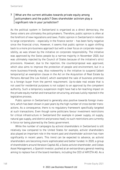#### What are the current attitudes towards private equity among policymakers and the public? Does shareholder activism play a significant role in your jurisdiction?

As the political system in Switzerland is organised as a direct democracy, the Swiss voters are ultimately the policymakers. Therefore, public opinion is often at the forefront of new regulations and laws. Public opinion in Switzerland in relation to large corporations – especially in the finance sector – has been fairly negative since the financial crisis. However, it seems that public opinion is again shifting back to a more pro-business approach but with a clear focus on corporate responsibility, as was shown by the initiative on corporate responsibility. The initiative was approved by the Swiss people by a narrow majority in November 2020, but was ultimately rejected by the Council of States because of the initiative's strict provisions. However, due to the rejection, the counterproposal was approved, which also aims to improve the protection of people and environment, but in a more business-friendly way. Also noteworthy is the initiative to suspend (albeit temporarily) an exemption clause in the Act on the Acquisition of Real Estate by Persons Abroad (the Lex Koller), which exempted the sale of business premises to a foreign buyer from the permit requirement. Up-to-date real estate that is not used for residential purposes is not subject to an approval by the competent authority. Such a temporary suspension might have had a far-reaching impact on the private equity market and transaction structuring, and was luckily rejected in the legislative process.

Public opinion in Switzerland is generally also positive towards foreign investors, which has been shown in past years by the high number of cross-border transactions. As a consequence, there is no regulatory framework specifically targeted at such transactions. Even though some politicians favour investment restrictions for critical infrastructure in Switzerland (for example in power supply, oil supply, natural gas supply, and district and process heat), no such restrictions are currently in force nor being planned by the Swiss government.

While the number of campaigns by activist shareholders in Switzerland is still relatively low compared to the United States for example, activist shareholders also played an important role in the recent past and shareholder activism has risen significantly in recent years. This trend can be expected to advance, as activist shareholders are becoming more sophisticated and better funded. In 2020, a group of shareholders around Veraison Capital AG, a Swiss activist shareholder, and Cobas Asset Management, a Spanish investor, pushed at an extraordinary general meeting aiming to replace five of the board members, including the CEO of ARYZTA AG. As a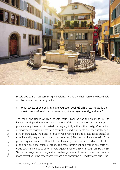

result, two board members resigned voluntarily and the chairman of the board held out the prospect of his resignation.

#### 8 What levels of exit activity have you been seeing? Which exit route is the most common? Which exits have caught your eye recently, and why?

The conditions under which a private equity investor has the ability to exit its investment depend very much on the terms of the shareholders' agreement (if the private equity investor is invested in a target jointly with another party). Contractual arrangements regarding transfer restrictions and exit rights are specifically decisive. In particular, the right to force other shareholders to a sale (drag-along) or to unilaterally request an initial public offering (IPO) can facilitate the exit of the private equity investor. Ultimately, the terms agreed upon are a direct reflection of the parties' negotiation leverage. The most prominent exit routes are certainly trade sales and sales to other private equity investors. Exits through an IPO on SIX Swiss Exchange (or a foreign stock exchange) are still less common but became more attractive in the recent past. We are also observing a trend towards dual-track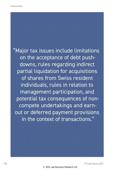"Major tax issues include limitations on the acceptance of debt pushdowns, rules regarding indirect partial liquidation for acquisitions of shares from Swiss resident individuals, rules in relation to management participation, and potential tax consequences of noncompete undertakings and earnout or deferred payment provisions in the context of transactions."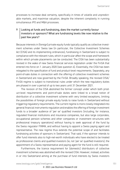processes to increase deal certainty, specifically in times of volatile and unpredictable markets, and maximise valuation, despite the inherent complexity in running simultaneous IPO and M&A processes.

#### 9 Looking at funds and fundraising, does the market currently favour investors or sponsors? What are fundraising levels like now relative to the past few years?

Because interests in (foreign) private equity funds typically qualify as collective investment schemes under Swiss law (in particular, the Collective Investment Schemes Act (CISA) and its implementing ordinances), fundraising in Switzerland is subject to compliance with the relevant rules, which in particular affect the scope and framework within which private placements can be conducted. The CISA has been substantially revised in the wake of new Swiss financial services legislation under the FinSA that entered into force on 1 January 2020 (see question 6). Essentially, the CISA has been relegated to the specification of fund and product-level requirements. Separately, any point-of-sale duties in connection with the offering of collective investment schemes in Switzerland are now governed by the FinSA. Broadly speaking, the revised CISA/ FinSA regime is subject to transitional rules under which the new regulatory duties are phased in over a period of up to two years until 31 December 2021.

The revision of the CISA abolished the former concept under which both product-level requirements and point-of-sale duties were linked to a broad notion of distribution of a collective investment scheme with very limited exceptions, limiting the possibilities of foreign private equity funds to raise funds in Switzerland without triggering regulatory requirements. The current regime is more closely integrated into general financial instruments regulation and enables the offering of foreign investment funds to a broader audience of 'per se' qualified investors (including, for instance, regulated financial institutions and insurance companies, but also large corporates, occupational pension schemes and other companies or investment structures with professional treasury operations) without having to seek approval of the fund by the Swiss regulator FINMA, and without having to appoint a Swiss paying agent and representative. The new regime thus extends the potential scope of and facilitates fundraising activities of sponsors in Switzerland. That said, if the sponsor intends to offer fund interests also to high-net-worth individuals who have elected to be treated as professional clients and qualified investors (ie, not 'per se' qualified investors), the appointment of a Swiss representative and paying agent for the fund is still required.

Furthermore, the licence requirement for (domestic) distributors of collective investment schemes was abolished with the revised CISA. However, instead, activities in or into Switzerland aiming at the purchase of fund interests by Swiss investors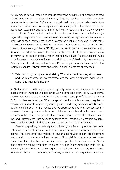(which may in certain cases also include marketing activities in the context of road shows) may qualify as a financial service, triggering point-of-sale duties and other requirements under the FinSA even if conducted on a cross-border basis from abroad into Switzerland. Private equity fund houses might therefore still prefer to use specialised placement agents to market to Swiss investors and ensure compliance with the FinSA. The main duties of financial service providers under the FinSA are (1) registration requirement for client advisers (an exemption applies to client advisers of foreign financial service providers subject to prudential supervision in their home jurisdiction if they exclusively provide financial services to professional or institutional clients in the meaning of the FinSA); (2) requirement to conduct client segmentation; (3) rules of conduct and information duties at the point of sale (subject to exemption or waiver in the case of professional or institutional clients); (4) organisational rules including rules on conflicts of interests and disclosure of third-party remunerations; (5) duty to label marketing materials; and (6) duty to join an ombudsman's office (an exemption applies if only professional or institutional clients are approached).

#### 10 Talk us through a typical fundraising. What are the timelines, structures and the key contractual points? What are the most significant legal issues specific to your jurisdiction?

In Switzerland, private equity funds typically seek to raise capital in private placements of interests in accordance with exemptions from the CISA approval requirement with regard to the fund. While the new concept of 'offering' under the FinSA that has replaced the CISA concept of 'distribution' is narrower, regulatory requirements may already be triggered by mere marketing activities, which is why careful consideration of the investors to be approached and the methods used is required. Marketing materials have to be labelled as such and their content must conform to the prospectus, private placement memorandum or other documents of the fund. Furthermore, care needs to be taken to only make such materials available to eligible investors (including by way of access restrictions to websites).

Generally speaking, private equity fundraising is effected by one-on-one presentations by general partners to investors, often set up by specialised placement agents. These presentations typically involve the distribution of a private placement memorandum or other marketing documents. Although it is not a requirement under Swiss law, it is advisable and considered best practice to include specific Swiss disclaimer and selling restriction language in all offering or marketing materials. In any case, legal advice should be sought from local counsel before any Swiss investors are contacted. Furthermore, fundraising, even if limited to qualified investors,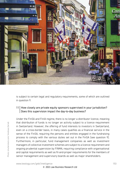

is subject to certain legal and regulatory requirements, some of which are outlined in question 9.

11 How closely are private equity sponsors supervised in your jurisdiction? Does this supervision impact the day-to-day business?

Under the FinSA and FinIA regime, there is no longer a distributor licence, meaning that distribution of funds is no longer an activity subject to a licence requirement in Switzerland. However, the offering of fund interests to investors in Switzerland, even on a cross-border basis, in many cases qualifies as a financial service in the sense of the FinSA, requiring the persons and entities engaged in the fundraising process to comply with the various duties set out in the FinSA (see question 9). Furthermore, in particular, fund management companies as well as investment managers of collective investment schemes are subject to a licence requirement and ongoing prudential supervision by FINMA, requiring compliance with organisational and capital requirements as well as fit-and-proper requirements for the members of senior management and supervisory boards as well as major shareholders.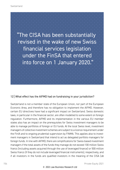

#### 12 What effect has the AIFMD had on fundraising in your jurisdiction?

Switzerland is not a member state of the European Union, nor part of the European Econonic Area, and therefore has no obligation to implement the AIFMD. However, certain EU directives have had a significant impact on Switzerland. Swiss domestic laws, in particular in the financial sector, are often modelled to some extent on foreign regulation. Furthermore, AIFMD and its implementation in the various EU member states also has an impact on the prerequisites for Swiss investment managers to be able to manage portfolios of foreign or EU funds. At the local Swiss level, investment managers of collective investment schemes are subject to a licence requirement under the FinIA and to ongoing prudential supervision by FINMA. This applies also to investment managers in Switzerland that intend to act as delegated portfolio managers for foreign funds. In line with AIFMD, there are simplifications for Swiss-based investment managers if the total assets of the funds they manage do not exceed 100 million Swiss francs (including assets acquired through the use of leveraged finance) or 500 million Swiss francs (if they do not include leveraged financial instruments), respectively, and if all investors in the funds are qualified investors in the meaning of the CISA (*de*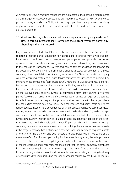*minimi*s rule). *De minimis* fund managers are exempt from the licensing requirements as a manager of collective assets but are required to obtain a FINMA licence as portfolio manager under the FinIA, with ongoing supervision by a private supervisory organisation (and subject to transitional periods of the FinIA depending on when the activity is started).

#### 13 What are the major tax issues that private equity faces in your jurisdiction? How is carried interest taxed? Do you see the current treatment potentially changing in the near future?

Major tax issues include limitations on the acceptance of debt push-downs, rules regarding indirect partial liquidation for acquisitions of shares from Swiss resident individuals, rules in relation to management participation and potential tax consequences of non-compete undertakings and earn-out or deferred payment provisions in the context of transactions. Switzerland has no tax consolidation for income tax purposes and dividend income from subsidiaries is virtually tax exempt for a Swiss company. The consolidation of financing expenses of a Swiss acquisition company with the operating profits of a Swiss target company can generally be achieved by merging these companies (debt push-down). Mergers in Switzerland may generally be conducted in a tax-neutral way if the tax liability remains in Switzerland, and the assets and liabilities are transferred at their (tax) book value. However, based on the tax-avoidance doctrine, Swiss tax authorities often deny, during a five-year period following a merger, the tax-effective deduction of interest against the target's taxable income upon a merger of a pure acquisition vehicle with the target where the acquisition vehicle could not have used the interest deduction itself due to the lack of taxable income. As a consequence of this practice, alternative debt push-down strategies, such as cascade purchases, leveraged dividends and equity to debt swaps, can be an option to secure (at least partially) tax-effective deduction of interest. As a Swiss particularity, indirect partial liquidation taxation generally applies in the event that Swiss resident individuals sell at least 20 per cent shares in a Swiss or foreign company held as private assets to an acquirer holding the shares as business assets if the target company has distributable reserves and non-business required assets at the time of the transfer, and such assets are distributed within five years of the share transfer. If an indirect partial liquidation event is triggered, the sale proceeds are reclassified from tax-free capital gains into taxable dividend income in the hands of the individual selling shareholder to the extent that the target company distributes its non-business required substance existing at the time of the sale to the acquirer. In principle, any distribution out of distributable reserves existing at closing (ordinary or construed dividends, including merger proceeds) caused by the buyer (generally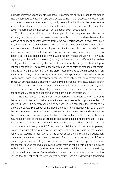during the first five years after the disposal) is considered harmful if, and to the extent that, the target group had non-operating assets at the time of disposal. Although such income tax arises with the seller, it typically results in a liability for the buyer as the seller will ask for an indemnity in the sales and purchase agreement in case the buyer triggers such an indirect partial liquidation event post-closing.

The Swiss tax provisions on employee participations, together with the corresponding circular letter by the Swiss federal tax authority, provide a legal basis for the taxation of financial benefits derived from employee participations. It regulates, inter alia, the taxation value of employee shares, the taxation point of employee stock options and the treatment of artificial employee participations, which do not provide for an allocation of ownership rights. Management participation programmes generally aim to obtain a tax-exempt capital gains for the Swiss resident managers upon exit. However, depending on the individual terms, (part of) the income may qualify as fully taxable employment income, generally also subject to social security charges for the employing entity (ie, the target). The cantonal tax practices on the taxation of management participations vary significantly and it is therefore recommended to obtain certainty in an advance tax ruling. There is no special taxation rate applicable to carried interest in Switzerland: Swiss resident managers can generally only benefit to a certain extent from a tax-exempt capital gains or privileged dividend income if they hold at least 10 per cent of the shares, provided that no part of the carried interest is deemed employment income. The taxation of such privileged dividends currently ranges between about 1 per cent and 30 per cent, depending on the domicile in Switzerland.

In the past few years, the Swiss tax authorities have been stricter regarding the taxation of deemed considerations for earn-out proceeds of private sellers of shares. In short, if a person sells his or her shares in a company, the capital gains is considered tax-free capital gains. Nevertheless, if in connection with such a sale the person enters into an earn-out agreement where the earn-out is dependent on the continuation of the employment activity of the seller, the Swiss tax authorities may requalify part of the sales proceeds into income subject to income tax. A qualification of income as employment income generally also triggers social security contributions (currently about 12 per cent in total for employee and employer). Swiss individual sellers often opt for a share deal to ensure their tax-free capital gains, often leading to restrictions for the buyer under the indirect partial liquidation clause in the sale and purchase agreement. Regarding a future exit, the IPO of a Swiss target is an interesting option in the current environment, in particular since capital contribution reserves of a Swiss target may be repaid without being subject to Swiss withholding tax (and income tax for Swiss individuals as shareholders), with certain limitations for Swiss listed companies. For trade sales, it is important to ensure that the seller of the Swiss target benefits from a full dividend withholding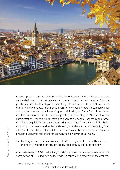

tax exemption under a double tax treaty with Switzerland, since otherwise a latent dividend withholding tax burden may be inherited by a buyer (and deducted from the purchase price). The later topic is particularly relevant for private equity funds, since the full withholding tax refund entitlement of intermediate holding companies, for example, in Luxembourg, is increasingly scrutinised by the Swiss federal tax administration. Based on a recent anti-abuse practice introduced by the Swiss federal tax administration, withholding tax may also apply to dividends from the Swiss target to a Swiss acquisition company (extended international transposition) if the Swiss acquisition company is held by the fund directly or a shareholder not benefiting from a full withholding tax entitlement. It is important to clarify this point, for example, by providing economic reasons for the structure in an advance tax ruling.

#### 14 Looking ahead, what can we expect? What might be the main themes in the next 12 months for private equity deal activity and fundraising?

After a decrease in M&A deal activity in 2020 by roughly a quarter compared to the same period of 2019, induced by the covid-19 pandemic, a recovery of the economy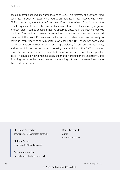could already be observed towards the end of 2020. This recovery and upward trend continued through H1 2021, which led to an increase in deal activity with Swiss SMEs involved by more than 60 per cent. Due to the inflow of liquidity into the private equity sector and other favourable circumstances such as ongoing negative interest rates, it can be expected that the observed upswing in the M&A market will continue. The catch-up of several transactions that were postponed or suspended because of the covid-19 pandemic had a further positive effect and is likely to continue. With regard to certain sectors, we expect the TMT, consumer goods and healthcare sectors to experience an ongoing popularity for outbound transactions, and as for inbound transactions, increasing deal activity in the TMT, consumer goods and industrial sectors are expected. This is, of course, all conditional upon the covid-19 pandemic not worsening again and thereby creating more uncertainty, and financing banks not becoming less accommodating in financing transactions due to the covid-19 pandemic.

Christoph Neeracher christoph.neeracher@baerkarrer.ch

Philippe Seiler philippe.seiler@baerkarrer.ch

Raphael Annasohn raphael.annasohn@baerkarrer.ch Bär & Karrer Ltd Zurich www.baerkarrer.ch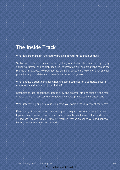### **The Inside Track**

#### What factors make private equity practice in your jurisdiction unique?

Switzerland's stable political system, globally oriented and liberal economy, highly skilled workforce, and efficient legal environment as well as a traditionally mild tax regime and relatively low bureaucracy create an excellent environment not only for private equity, but also as a business environment in general.

#### What should a client consider when choosing counsel for a complex private equity transaction in your jurisdiction?

Competence, deal experience, accessibility and pragmatism are certainly the most crucial factors for successfully completing complex private equity transactions.

#### What interesting or unusual issues have you come across in recent matters?

Every deal, of course, raises interesting and unique questions. A very interesting topic we have come across in a recent matter was the involvement of a foundation as selling shareholder, which ultimately required intense exchange with and approval by the competent foundation authority.